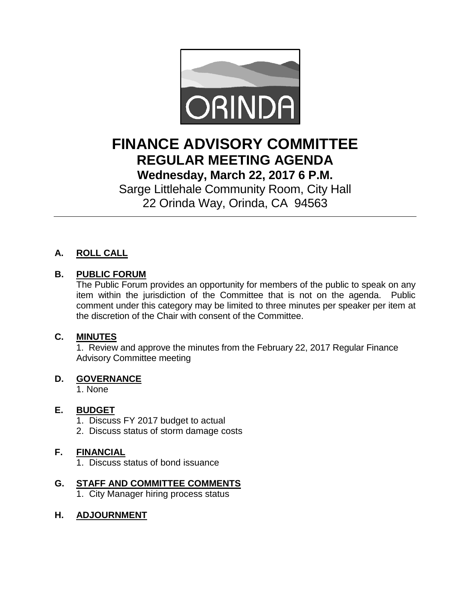

# **FINANCE ADVISORY COMMITTEE REGULAR MEETING AGENDA Wednesday, March 22, 2017 6 P.M.**

Sarge Littlehale Community Room, City Hall 22 Orinda Way, Orinda, CA 94563

# **A. ROLL CALL**

### **B. PUBLIC FORUM**

The Public Forum provides an opportunity for members of the public to speak on any item within the jurisdiction of the Committee that is not on the agenda. Public comment under this category may be limited to three minutes per speaker per item at the discretion of the Chair with consent of the Committee.

#### **C. MINUTES**

1. Review and approve the minutes from the February 22, 2017 Regular Finance Advisory Committee meeting

#### **D. GOVERNANCE**

1. None

#### **E. BUDGET**

- 1. Discuss FY 2017 budget to actual
- 2. Discuss status of storm damage costs

#### **F. FINANCIAL**

1. Discuss status of bond issuance

## **G. STAFF AND COMMITTEE COMMENTS**

1. City Manager hiring process status

#### **H. ADJOURNMENT**